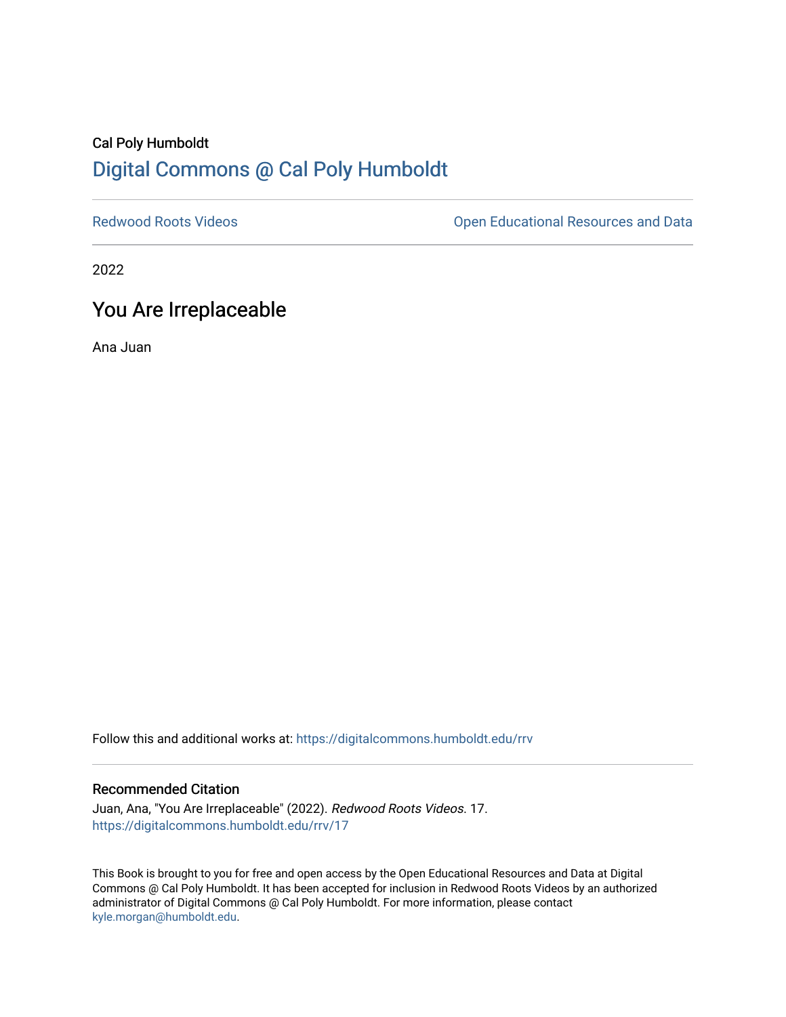## Cal Poly Humboldt [Digital Commons @ Cal Poly Humboldt](https://digitalcommons.humboldt.edu/)

[Redwood Roots Videos](https://digitalcommons.humboldt.edu/rrv) **Netwood Roots Videos** Christense Copen Educational Resources and Data

2022

# You Are Irreplaceable

Ana Juan

Follow this and additional works at: [https://digitalcommons.humboldt.edu/rrv](https://digitalcommons.humboldt.edu/rrv?utm_source=digitalcommons.humboldt.edu%2Frrv%2F17&utm_medium=PDF&utm_campaign=PDFCoverPages)

#### Recommended Citation

Juan, Ana, "You Are Irreplaceable" (2022). Redwood Roots Videos. 17. [https://digitalcommons.humboldt.edu/rrv/17](https://digitalcommons.humboldt.edu/rrv/17?utm_source=digitalcommons.humboldt.edu%2Frrv%2F17&utm_medium=PDF&utm_campaign=PDFCoverPages) 

This Book is brought to you for free and open access by the Open Educational Resources and Data at Digital Commons @ Cal Poly Humboldt. It has been accepted for inclusion in Redwood Roots Videos by an authorized administrator of Digital Commons @ Cal Poly Humboldt. For more information, please contact [kyle.morgan@humboldt.edu](mailto:kyle.morgan@humboldt.edu).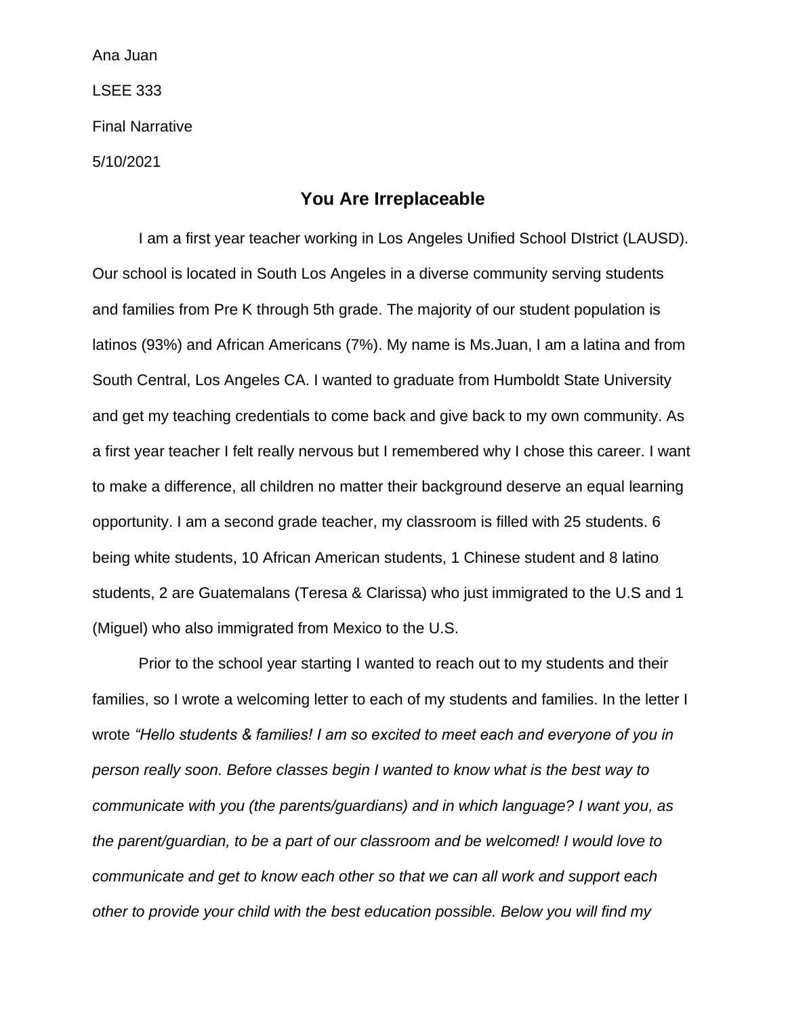Ana Juan LSEE 333 Final Narrative 5/10/2021

### **You Are Irreplaceable**

I am a first year teacher working in Los Angeles Unified School DIstrict (LAUSD). Our school is located in South Los Angeles in a diverse community serving students and families from Pre K through 5th grade. The majority of our student population is latinos (93%) and African Americans (7%). My name is Ms.Juan, I am a latina and from South Central, Los Angeles CA. I wanted to graduate from Humboldt State University and get my teaching credentials to come back and give back to my own community. As a first year teacher I felt really nervous but I remembered why I chose this career. I want to make a difference, all children no matter their background deserve an equal learning opportunity. I am a second grade teacher, my classroom is filled with 25 students. 6 being white students, 10 African American students, 1 Chinese student and 8 latino students, 2 are Guatemalans (Teresa & Clarissa) who just immigrated to the U.S and 1 (Miguel) who also immigrated from Mexico to the U.S.

Prior to the school year starting I wanted to reach out to my students and their families, so I wrote a welcoming letter to each of my students and families. In the letter I wrote *"Hello students & families! I am so excited to meet each and everyone of you in person really soon. Before classes begin I wanted to know what is the best way to communicate with you (the parents/guardians) and in which language? I want you, as the parent/guardian, to be a part of our classroom and be welcomed! I would love to communicate and get to know each other so that we can all work and support each other to provide your child with the best education possible. Below you will find my*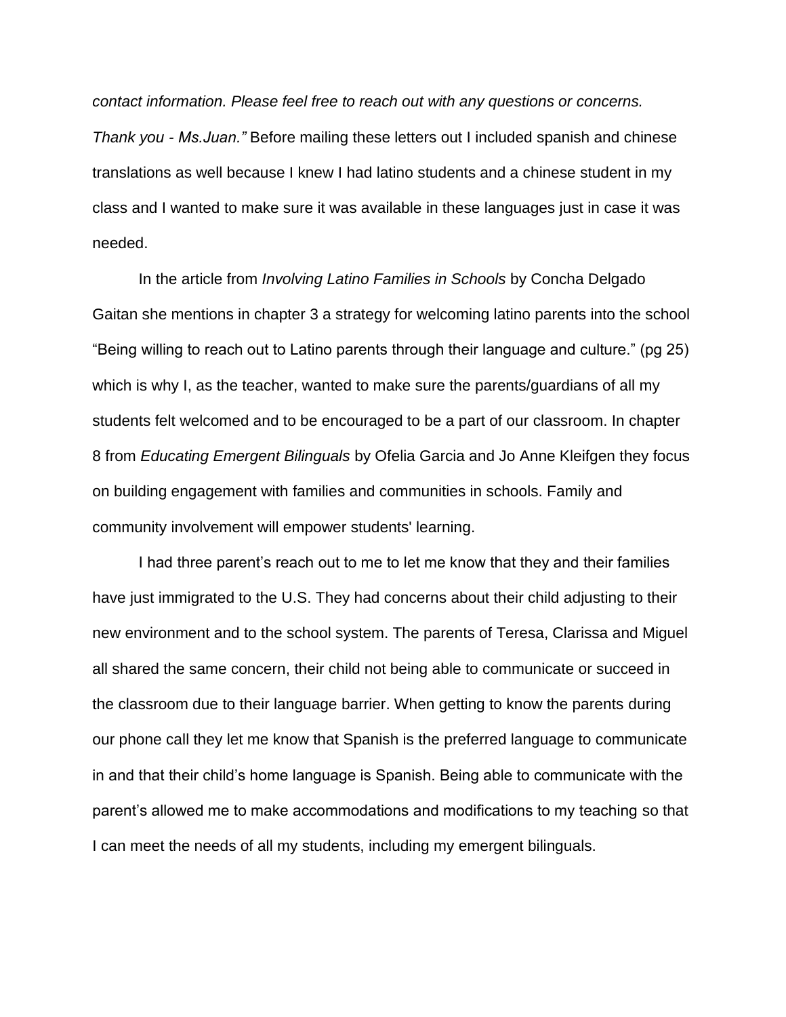*contact information. Please feel free to reach out with any questions or concerns. Thank you - Ms.Juan."* Before mailing these letters out I included spanish and chinese translations as well because I knew I had latino students and a chinese student in my class and I wanted to make sure it was available in these languages just in case it was needed.

In the article from *Involving Latino Families in Schools* by Concha Delgado Gaitan she mentions in chapter 3 a strategy for welcoming latino parents into the school "Being willing to reach out to Latino parents through their language and culture." (pg 25) which is why I, as the teacher, wanted to make sure the parents/guardians of all my students felt welcomed and to be encouraged to be a part of our classroom. In chapter 8 from *Educating Emergent Bilinguals* by Ofelia Garcia and Jo Anne Kleifgen they focus on building engagement with families and communities in schools. Family and community involvement will empower students' learning.

I had three parent's reach out to me to let me know that they and their families have just immigrated to the U.S. They had concerns about their child adjusting to their new environment and to the school system. The parents of Teresa, Clarissa and Miguel all shared the same concern, their child not being able to communicate or succeed in the classroom due to their language barrier. When getting to know the parents during our phone call they let me know that Spanish is the preferred language to communicate in and that their child's home language is Spanish. Being able to communicate with the parent's allowed me to make accommodations and modifications to my teaching so that I can meet the needs of all my students, including my emergent bilinguals.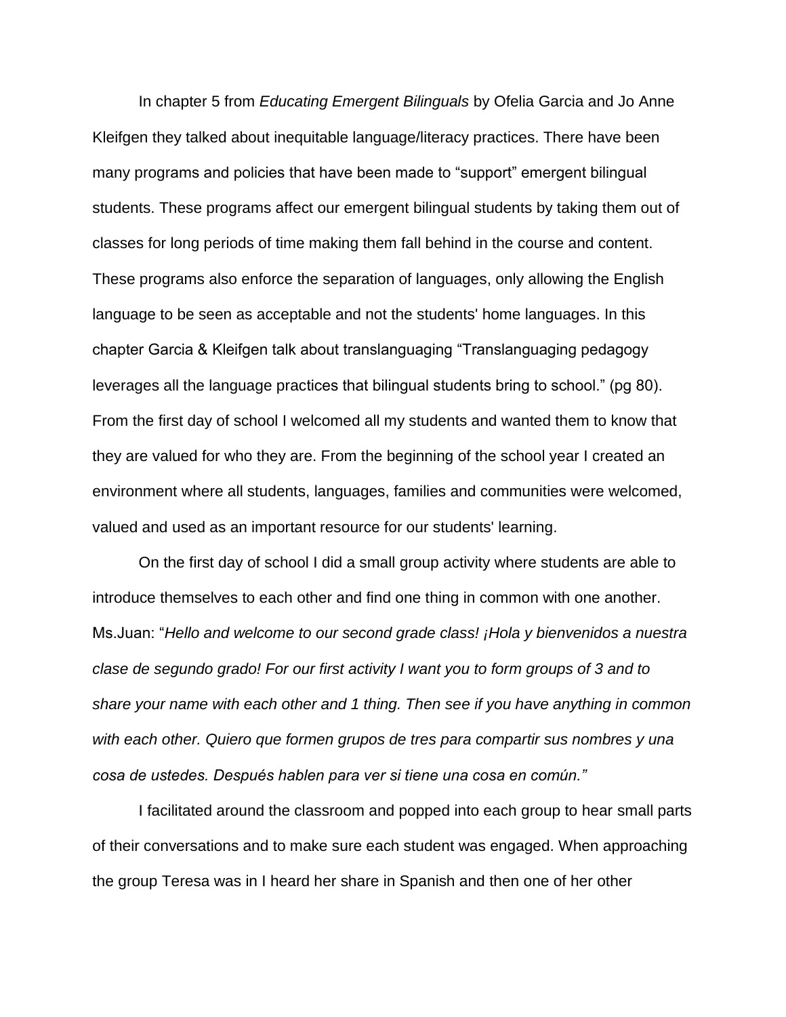In chapter 5 from *Educating Emergent Bilinguals* by Ofelia Garcia and Jo Anne Kleifgen they talked about inequitable language/literacy practices. There have been many programs and policies that have been made to "support" emergent bilingual students. These programs affect our emergent bilingual students by taking them out of classes for long periods of time making them fall behind in the course and content. These programs also enforce the separation of languages, only allowing the English language to be seen as acceptable and not the students' home languages. In this chapter Garcia & Kleifgen talk about translanguaging "Translanguaging pedagogy leverages all the language practices that bilingual students bring to school." (pg 80). From the first day of school I welcomed all my students and wanted them to know that they are valued for who they are. From the beginning of the school year I created an environment where all students, languages, families and communities were welcomed, valued and used as an important resource for our students' learning.

On the first day of school I did a small group activity where students are able to introduce themselves to each other and find one thing in common with one another. Ms.Juan: "*Hello and welcome to our second grade class! ¡Hola y bienvenidos a nuestra clase de segundo grado! For our first activity I want you to form groups of 3 and to share your name with each other and 1 thing. Then see if you have anything in common with each other. Quiero que formen grupos de tres para compartir sus nombres y una cosa de ustedes. Después hablen para ver si tiene una cosa en común."*

I facilitated around the classroom and popped into each group to hear small parts of their conversations and to make sure each student was engaged. When approaching the group Teresa was in I heard her share in Spanish and then one of her other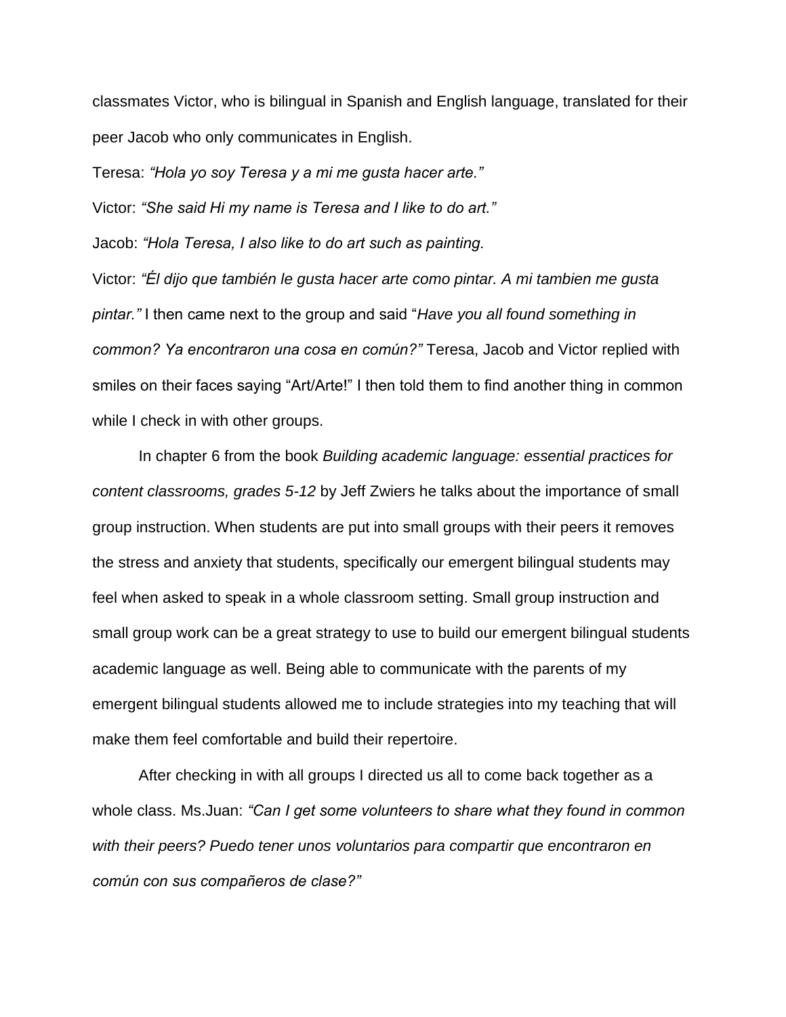classmates Victor, who is bilingual in Spanish and English language, translated for their peer Jacob who only communicates in English.

Teresa: *"Hola yo soy Teresa y a mi me gusta hacer arte."*

Victor: *"She said Hi my name is Teresa and I like to do art."*

Jacob: *"Hola Teresa, I also like to do art such as painting.*

Victor: *"Él dijo que también le gusta hacer arte como pintar. A mi tambien me gusta pintar."* I then came next to the group and said "*Have you all found something in common? Ya encontraron una cosa en común?"* Teresa, Jacob and Victor replied with smiles on their faces saying "Art/Arte!" I then told them to find another thing in common while I check in with other groups.

In chapter 6 from the book *Building academic language: essential practices for content classrooms, grades 5-12* by Jeff Zwiers he talks about the importance of small group instruction. When students are put into small groups with their peers it removes the stress and anxiety that students, specifically our emergent bilingual students may feel when asked to speak in a whole classroom setting. Small group instruction and small group work can be a great strategy to use to build our emergent bilingual students academic language as well. Being able to communicate with the parents of my emergent bilingual students allowed me to include strategies into my teaching that will make them feel comfortable and build their repertoire.

After checking in with all groups I directed us all to come back together as a whole class. Ms.Juan: *"Can I get some volunteers to share what they found in common with their peers? Puedo tener unos voluntarios para compartir que encontraron en común con sus compañeros de clase?"*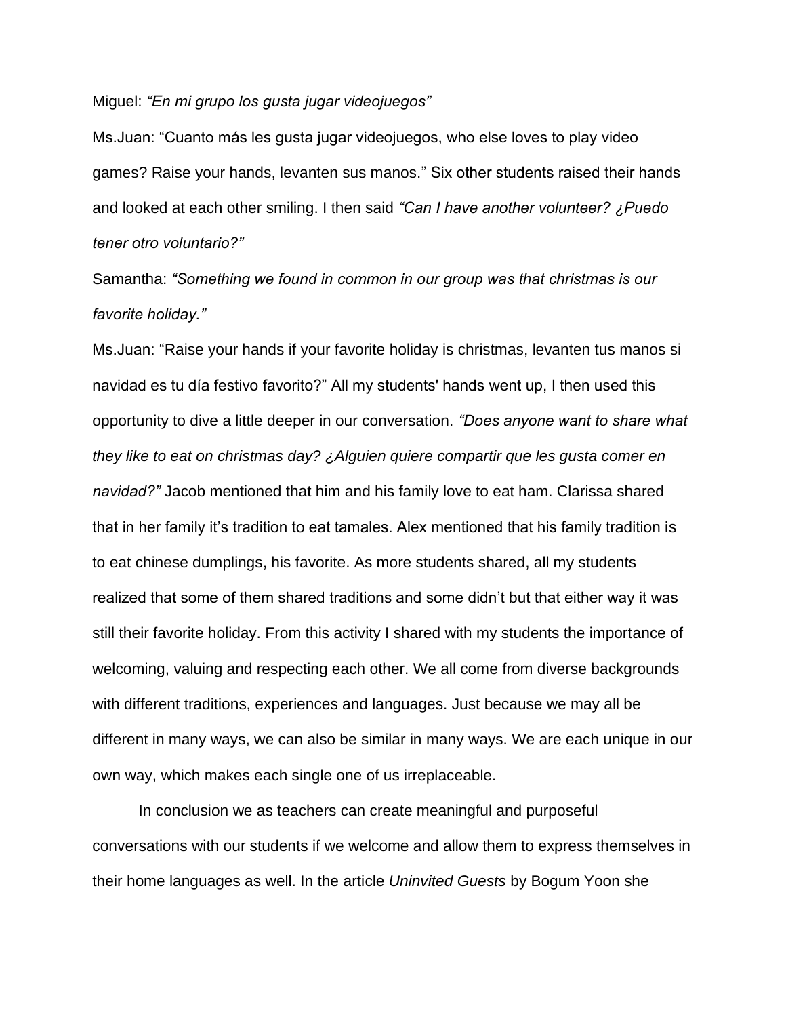Miguel: *"En mi grupo los gusta jugar videojuegos"*

Ms.Juan: "Cuanto más les gusta jugar videojuegos, who else loves to play video games? Raise your hands, levanten sus manos." Six other students raised their hands and looked at each other smiling. I then said *"Can I have another volunteer? ¿Puedo tener otro voluntario?"*

Samantha: *"Something we found in common in our group was that christmas is our favorite holiday."*

Ms.Juan: "Raise your hands if your favorite holiday is christmas, levanten tus manos si navidad es tu día festivo favorito?" All my students' hands went up, I then used this opportunity to dive a little deeper in our conversation. *"Does anyone want to share what they like to eat on christmas day? ¿Alguien quiere compartir que les gusta comer en navidad?"* Jacob mentioned that him and his family love to eat ham. Clarissa shared that in her family it's tradition to eat tamales. Alex mentioned that his family tradition is to eat chinese dumplings, his favorite. As more students shared, all my students realized that some of them shared traditions and some didn't but that either way it was still their favorite holiday. From this activity I shared with my students the importance of welcoming, valuing and respecting each other. We all come from diverse backgrounds with different traditions, experiences and languages. Just because we may all be different in many ways, we can also be similar in many ways. We are each unique in our own way, which makes each single one of us irreplaceable.

In conclusion we as teachers can create meaningful and purposeful conversations with our students if we welcome and allow them to express themselves in their home languages as well. In the article *Uninvited Guests* by Bogum Yoon she